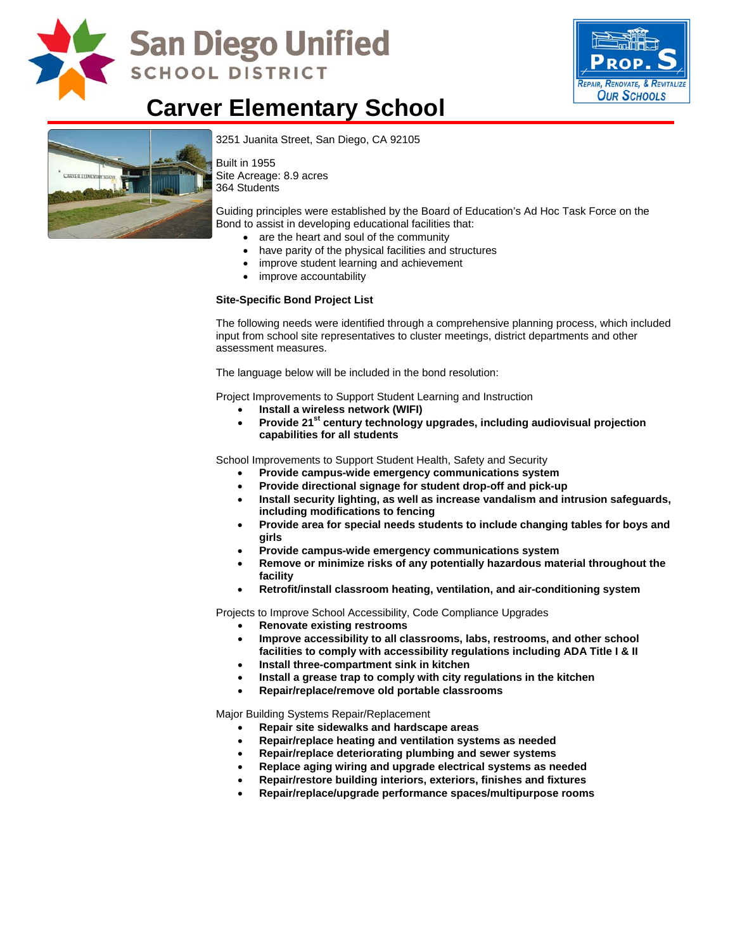

# **San Diego Unified SCHOOL DISTRICT**



# **Carver Elementary School**



[3251 Juanita Street, San Diego, CA](http://www.sandi.net/comm/schools/schlpix/carver.jpg) 92105

Built in 1955 Site Acreage: 8.9 acres 364 Students

Guiding principles were established by the Board of Education's Ad Hoc Task Force on the Bond to assist in developing educational facilities that:

- are the heart and soul of the community
- have parity of the physical facilities and structures
- improve student learning and achievement
- improve accountability

#### **Site-Specific Bond Project List**

The following needs were identified through a comprehensive planning process, which included input from school site representatives to cluster meetings, district departments and other assessment measures.

The language below will be included in the bond resolution:

Project Improvements to Support Student Learning and Instruction

- **Install a wireless network (WIFI)**
- Provide 21<sup>st</sup> century technology upgrades, including audiovisual projection **capabilities for all students**

School Improvements to Support Student Health, Safety and Security

- **Provide campus-wide emergency communications system**
- **Provide directional signage for student drop-off and pick-up**
- **Install security lighting, as well as increase vandalism and intrusion safeguards, including modifications to fencing**
- **Provide area for special needs students to include changing tables for boys and girls**
- **Provide campus-wide emergency communications system**
- **Remove or minimize risks of any potentially hazardous material throughout the facility**
- **Retrofit/install classroom heating, ventilation, and air-conditioning system**

Projects to Improve School Accessibility, Code Compliance Upgrades

- **Renovate existing restrooms**
- **Improve accessibility to all classrooms, labs, restrooms, and other school facilities to comply with accessibility regulations including ADA Title I & II**
- **Install three-compartment sink in kitchen**
- **Install a grease trap to comply with city regulations in the kitchen**
- **Repair/replace/remove old portable classrooms**

Major Building Systems Repair/Replacement

- **Repair site sidewalks and hardscape areas**
- **Repair/replace heating and ventilation systems as needed**
- **Repair/replace deteriorating plumbing and sewer systems**
- **Replace aging wiring and upgrade electrical systems as needed**
- **Repair/restore building interiors, exteriors, finishes and fixtures**
- **Repair/replace/upgrade performance spaces/multipurpose rooms**